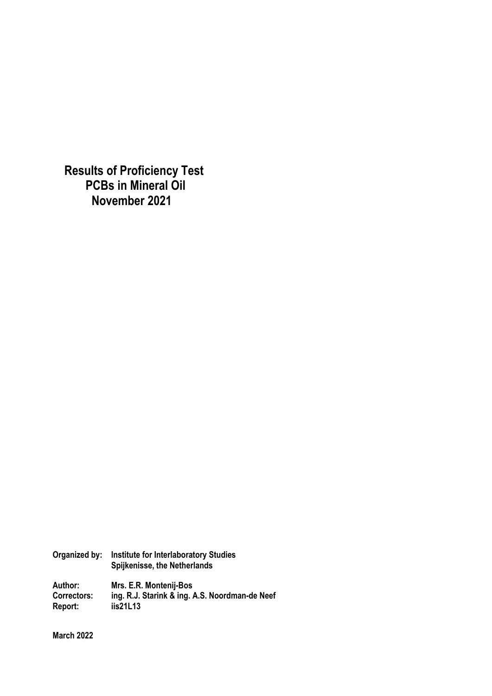**Results of Proficiency Test PCBs in Mineral Oil November 2021** 

**Organized by: Institute for Interlaboratory Studies Spijkenisse, the Netherlands Author: Mrs. E.R. Montenij-Bos Correctors: ing. R.J. Starink & ing. A.S. Noordman-de Neef Report: iis21L13** 

**March 2022**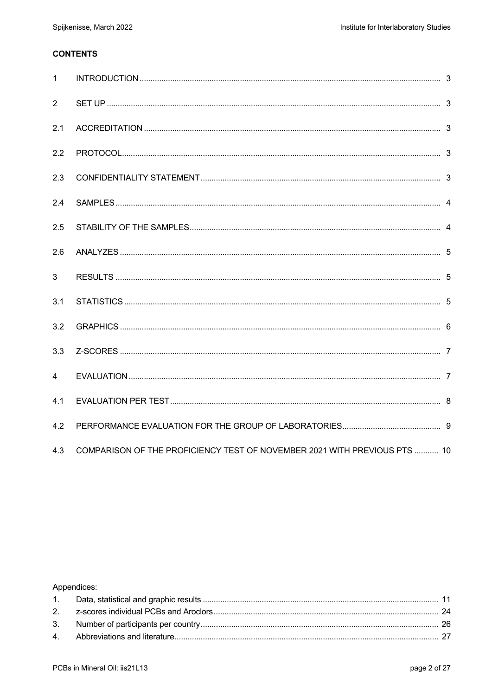# **CONTENTS**

| $\mathbf{1}$   |                                                                           |  |
|----------------|---------------------------------------------------------------------------|--|
| 2              |                                                                           |  |
| 2.1            |                                                                           |  |
| 2.2            |                                                                           |  |
| 2.3            |                                                                           |  |
| 2.4            |                                                                           |  |
| 2.5            |                                                                           |  |
| 2.6            |                                                                           |  |
| $\mathbf{3}$   |                                                                           |  |
| 3.1            |                                                                           |  |
| 3.2            |                                                                           |  |
| 3.3            |                                                                           |  |
| $\overline{4}$ |                                                                           |  |
| 4.1            |                                                                           |  |
| 4.2            |                                                                           |  |
| 4.3            | COMPARISON OF THE PROFICIENCY TEST OF NOVEMBER 2021 WITH PREVIOUS PTS  10 |  |

# Appendices: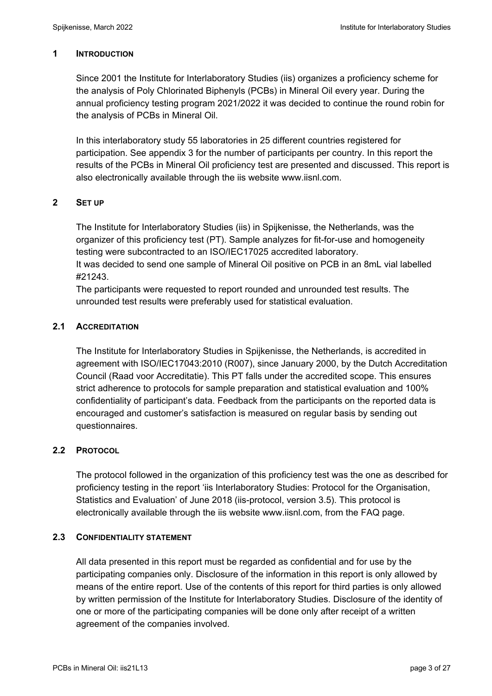### **1 INTRODUCTION**

Since 2001 the Institute for Interlaboratory Studies (iis) organizes a proficiency scheme for the analysis of Poly Chlorinated Biphenyls (PCBs) in Mineral Oil every year. During the annual proficiency testing program 2021/2022 it was decided to continue the round robin for the analysis of PCBs in Mineral Oil.

In this interlaboratory study 55 laboratories in 25 different countries registered for participation. See appendix 3 for the number of participants per country. In this report the results of the PCBs in Mineral Oil proficiency test are presented and discussed. This report is also electronically available through the iis website www.iisnl.com.

### **2 SET UP**

The Institute for Interlaboratory Studies (iis) in Spijkenisse, the Netherlands, was the organizer of this proficiency test (PT). Sample analyzes for fit-for-use and homogeneity testing were subcontracted to an ISO/IEC17025 accredited laboratory. It was decided to send one sample of Mineral Oil positive on PCB in an 8mL vial labelled #21243.

The participants were requested to report rounded and unrounded test results. The unrounded test results were preferably used for statistical evaluation.

### **2.1 ACCREDITATION**

The Institute for Interlaboratory Studies in Spijkenisse, the Netherlands, is accredited in agreement with ISO/IEC17043:2010 (R007), since January 2000, by the Dutch Accreditation Council (Raad voor Accreditatie). This PT falls under the accredited scope. This ensures strict adherence to protocols for sample preparation and statistical evaluation and 100% confidentiality of participant's data. Feedback from the participants on the reported data is encouraged and customer's satisfaction is measured on regular basis by sending out questionnaires.

# **2.2 PROTOCOL**

The protocol followed in the organization of this proficiency test was the one as described for proficiency testing in the report 'iis Interlaboratory Studies: Protocol for the Organisation, Statistics and Evaluation' of June 2018 (iis-protocol, version 3.5). This protocol is electronically available through the iis website www.iisnl.com, from the FAQ page.

### **2.3 CONFIDENTIALITY STATEMENT**

All data presented in this report must be regarded as confidential and for use by the participating companies only. Disclosure of the information in this report is only allowed by means of the entire report. Use of the contents of this report for third parties is only allowed by written permission of the Institute for Interlaboratory Studies. Disclosure of the identity of one or more of the participating companies will be done only after receipt of a written agreement of the companies involved.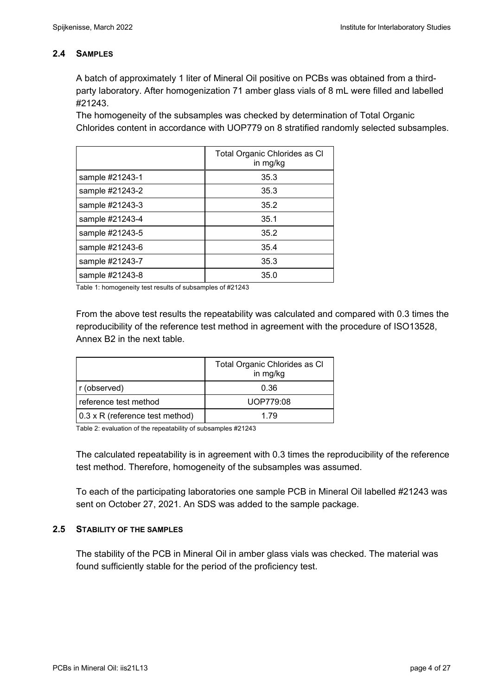## **2.4 SAMPLES**

A batch of approximately 1 liter of Mineral Oil positive on PCBs was obtained from a thirdparty laboratory. After homogenization 71 amber glass vials of 8 mL were filled and labelled #21243.

The homogeneity of the subsamples was checked by determination of Total Organic Chlorides content in accordance with UOP779 on 8 stratified randomly selected subsamples.

|                 | Total Organic Chlorides as CI<br>in mg/kg |
|-----------------|-------------------------------------------|
| sample #21243-1 | 35.3                                      |
| sample #21243-2 | 35.3                                      |
| sample #21243-3 | 35.2                                      |
| sample #21243-4 | 35.1                                      |
| sample #21243-5 | 35.2                                      |
| sample #21243-6 | 35.4                                      |
| sample #21243-7 | 35.3                                      |
| sample #21243-8 | 35.0                                      |

Table 1: homogeneity test results of subsamples of #21243

From the above test results the repeatability was calculated and compared with 0.3 times the reproducibility of the reference test method in agreement with the procedure of ISO13528, Annex B2 in the next table.

|                                 | Total Organic Chlorides as CI<br>in mg/kg |
|---------------------------------|-------------------------------------------|
| r (observed)                    | 0.36                                      |
| reference test method           | UOP779:08                                 |
| 0.3 x R (reference test method) | 1 79                                      |

Table 2: evaluation of the repeatability of subsamples #21243

The calculated repeatability is in agreement with 0.3 times the reproducibility of the reference test method. Therefore, homogeneity of the subsamples was assumed.

To each of the participating laboratories one sample PCB in Mineral Oil labelled #21243 was sent on October 27, 2021. An SDS was added to the sample package.

#### **2.5 STABILITY OF THE SAMPLES**

The stability of the PCB in Mineral Oil in amber glass vials was checked. The material was found sufficiently stable for the period of the proficiency test.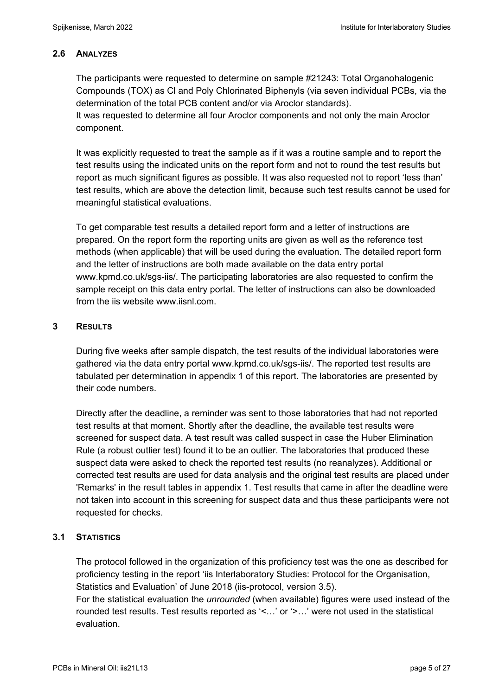## **2.6 ANALYZES**

The participants were requested to determine on sample #21243: Total Organohalogenic Compounds (TOX) as Cl and Poly Chlorinated Biphenyls (via seven individual PCBs, via the determination of the total PCB content and/or via Aroclor standards). It was requested to determine all four Aroclor components and not only the main Aroclor

component.

It was explicitly requested to treat the sample as if it was a routine sample and to report the test results using the indicated units on the report form and not to round the test results but report as much significant figures as possible. It was also requested not to report 'less than' test results, which are above the detection limit, because such test results cannot be used for meaningful statistical evaluations.

To get comparable test results a detailed report form and a letter of instructions are prepared. On the report form the reporting units are given as well as the reference test methods (when applicable) that will be used during the evaluation. The detailed report form and the letter of instructions are both made available on the data entry portal www.kpmd.co.uk/sgs-iis/. The participating laboratories are also requested to confirm the sample receipt on this data entry portal. The letter of instructions can also be downloaded from the iis website www.iisnl.com.

# **3 RESULTS**

During five weeks after sample dispatch, the test results of the individual laboratories were gathered via the data entry portal www.kpmd.co.uk/sgs-iis/. The reported test results are tabulated per determination in appendix 1 of this report. The laboratories are presented by their code numbers.

Directly after the deadline, a reminder was sent to those laboratories that had not reported test results at that moment. Shortly after the deadline, the available test results were screened for suspect data. A test result was called suspect in case the Huber Elimination Rule (a robust outlier test) found it to be an outlier. The laboratories that produced these suspect data were asked to check the reported test results (no reanalyzes). Additional or corrected test results are used for data analysis and the original test results are placed under 'Remarks' in the result tables in appendix 1. Test results that came in after the deadline were not taken into account in this screening for suspect data and thus these participants were not requested for checks.

# **3.1 STATISTICS**

The protocol followed in the organization of this proficiency test was the one as described for proficiency testing in the report 'iis Interlaboratory Studies: Protocol for the Organisation, Statistics and Evaluation' of June 2018 (iis-protocol, version 3.5).

For the statistical evaluation the *unrounded* (when available) figures were used instead of the rounded test results. Test results reported as '<…' or '>…' were not used in the statistical evaluation.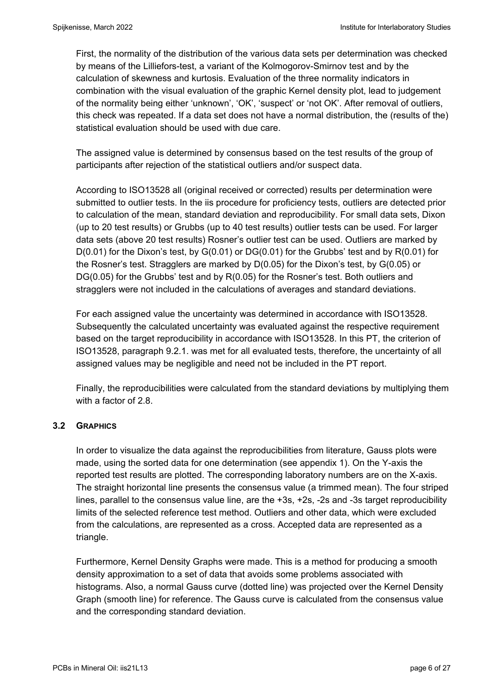First, the normality of the distribution of the various data sets per determination was checked by means of the Lilliefors-test, a variant of the Kolmogorov-Smirnov test and by the calculation of skewness and kurtosis. Evaluation of the three normality indicators in combination with the visual evaluation of the graphic Kernel density plot, lead to judgement of the normality being either 'unknown', 'OK', 'suspect' or 'not OK'. After removal of outliers, this check was repeated. If a data set does not have a normal distribution, the (results of the) statistical evaluation should be used with due care.

The assigned value is determined by consensus based on the test results of the group of participants after rejection of the statistical outliers and/or suspect data.

According to ISO13528 all (original received or corrected) results per determination were submitted to outlier tests. In the iis procedure for proficiency tests, outliers are detected prior to calculation of the mean, standard deviation and reproducibility. For small data sets, Dixon (up to 20 test results) or Grubbs (up to 40 test results) outlier tests can be used. For larger data sets (above 20 test results) Rosner's outlier test can be used. Outliers are marked by D(0.01) for the Dixon's test, by G(0.01) or DG(0.01) for the Grubbs' test and by R(0.01) for the Rosner's test. Stragglers are marked by D(0.05) for the Dixon's test, by G(0.05) or DG(0.05) for the Grubbs' test and by R(0.05) for the Rosner's test. Both outliers and stragglers were not included in the calculations of averages and standard deviations.

For each assigned value the uncertainty was determined in accordance with ISO13528. Subsequently the calculated uncertainty was evaluated against the respective requirement based on the target reproducibility in accordance with ISO13528. In this PT, the criterion of ISO13528, paragraph 9.2.1. was met for all evaluated tests, therefore, the uncertainty of all assigned values may be negligible and need not be included in the PT report.

Finally, the reproducibilities were calculated from the standard deviations by multiplying them with a factor of 2.8.

# **3.2 GRAPHICS**

In order to visualize the data against the reproducibilities from literature, Gauss plots were made, using the sorted data for one determination (see appendix 1). On the Y-axis the reported test results are plotted. The corresponding laboratory numbers are on the X-axis. The straight horizontal line presents the consensus value (a trimmed mean). The four striped lines, parallel to the consensus value line, are the +3s, +2s, -2s and -3s target reproducibility limits of the selected reference test method. Outliers and other data, which were excluded from the calculations, are represented as a cross. Accepted data are represented as a triangle.

Furthermore, Kernel Density Graphs were made. This is a method for producing a smooth density approximation to a set of data that avoids some problems associated with histograms. Also, a normal Gauss curve (dotted line) was projected over the Kernel Density Graph (smooth line) for reference. The Gauss curve is calculated from the consensus value and the corresponding standard deviation.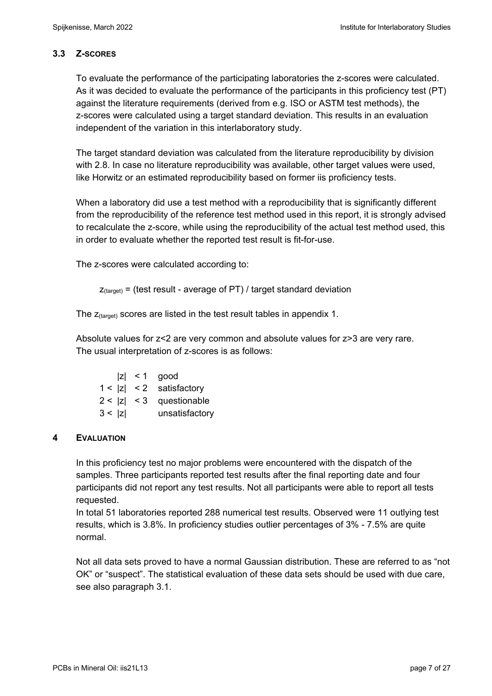# **3.3 Z-SCORES**

To evaluate the performance of the participating laboratories the z-scores were calculated. As it was decided to evaluate the performance of the participants in this proficiency test (PT) against the literature requirements (derived from e.g. ISO or ASTM test methods), the z-scores were calculated using a target standard deviation. This results in an evaluation independent of the variation in this interlaboratory study.

The target standard deviation was calculated from the literature reproducibility by division with 2.8. In case no literature reproducibility was available, other target values were used, like Horwitz or an estimated reproducibility based on former iis proficiency tests.

When a laboratory did use a test method with a reproducibility that is significantly different from the reproducibility of the reference test method used in this report, it is strongly advised to recalculate the z-score, while using the reproducibility of the actual test method used, this in order to evaluate whether the reported test result is fit-for-use.

The z-scores were calculated according to:

```
Z_{\text{target}} = (test result - average of PT) / target standard deviation
```
The  $z_{\text{(target)}}$  scores are listed in the test result tables in appendix 1.

Absolute values for z<2 are very common and absolute values for z>3 are very rare. The usual interpretation of z-scores is as follows:

|        | $ z  < 1$ good             |
|--------|----------------------------|
|        | $1 <  z  < 2$ satisfactory |
|        | $2 <  z  < 3$ questionable |
| 3 <  z | unsatisfactory             |

# **4 EVALUATION**

In this proficiency test no major problems were encountered with the dispatch of the samples. Three participants reported test results after the final reporting date and four participants did not report any test results. Not all participants were able to report all tests requested.

In total 51 laboratories reported 288 numerical test results. Observed were 11 outlying test results, which is 3.8%. In proficiency studies outlier percentages of 3% - 7.5% are quite normal.

Not all data sets proved to have a normal Gaussian distribution. These are referred to as "not OK" or "suspect". The statistical evaluation of these data sets should be used with due care, see also paragraph 3.1.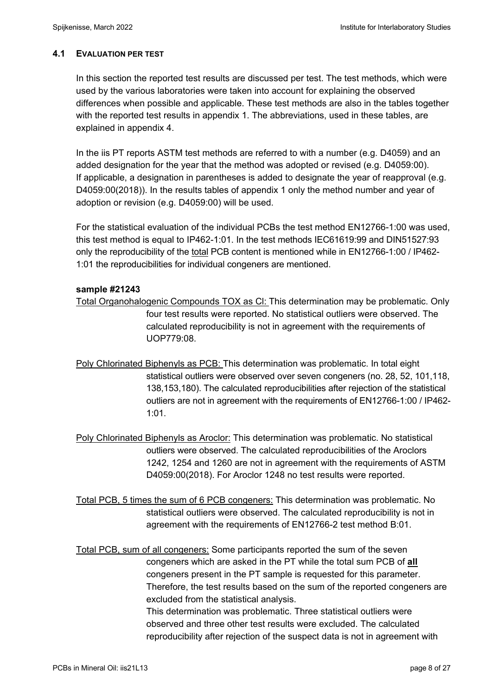## **4.1 EVALUATION PER TEST**

In this section the reported test results are discussed per test. The test methods, which were used by the various laboratories were taken into account for explaining the observed differences when possible and applicable. These test methods are also in the tables together with the reported test results in appendix 1. The abbreviations, used in these tables, are explained in appendix 4.

In the iis PT reports ASTM test methods are referred to with a number (e.g. D4059) and an added designation for the year that the method was adopted or revised (e.g. D4059:00). If applicable, a designation in parentheses is added to designate the year of reapproval (e.g. D4059:00(2018)). In the results tables of appendix 1 only the method number and year of adoption or revision (e.g. D4059:00) will be used.

For the statistical evaluation of the individual PCBs the test method EN12766-1:00 was used, this test method is equal to IP462-1:01. In the test methods IEC61619:99 and DIN51527:93 only the reproducibility of the total PCB content is mentioned while in EN12766-1:00 / IP462- 1:01 the reproducibilities for individual congeners are mentioned.

### **sample #21243**

Total Organohalogenic Compounds TOX as Cl: This determination may be problematic. Only four test results were reported. No statistical outliers were observed. The calculated reproducibility is not in agreement with the requirements of UOP779:08.

Poly Chlorinated Biphenyls as PCB: This determination was problematic. In total eight statistical outliers were observed over seven congeners (no. 28, 52, 101,118, 138,153,180). The calculated reproducibilities after rejection of the statistical outliers are not in agreement with the requirements of EN12766-1:00 / IP462- 1:01.

Poly Chlorinated Biphenyls as Aroclor: This determination was problematic. No statistical outliers were observed. The calculated reproducibilities of the Aroclors 1242, 1254 and 1260 are not in agreement with the requirements of ASTM D4059:00(2018). For Aroclor 1248 no test results were reported.

Total PCB, 5 times the sum of 6 PCB congeners: This determination was problematic. No statistical outliers were observed. The calculated reproducibility is not in agreement with the requirements of EN12766-2 test method B:01.

Total PCB, sum of all congeners: Some participants reported the sum of the seven congeners which are asked in the PT while the total sum PCB of **all** congeners present in the PT sample is requested for this parameter. Therefore, the test results based on the sum of the reported congeners are excluded from the statistical analysis.

 This determination was problematic. Three statistical outliers were observed and three other test results were excluded. The calculated reproducibility after rejection of the suspect data is not in agreement with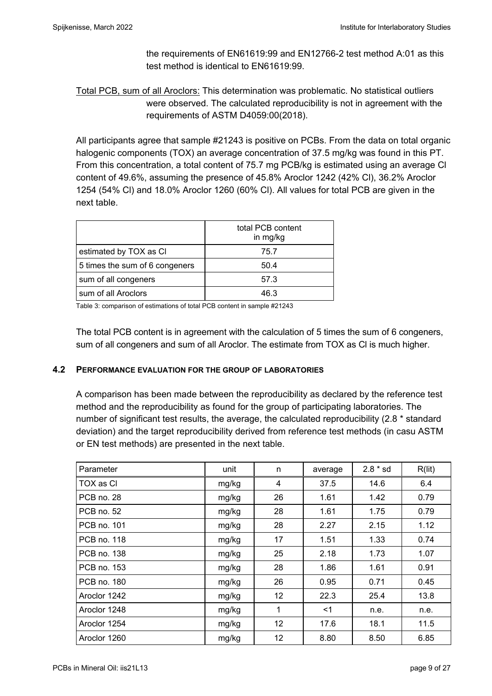the requirements of EN61619:99 and EN12766-2 test method A:01 as this test method is identical to EN61619:99.

Total PCB, sum of all Aroclors: This determination was problematic. No statistical outliers were observed. The calculated reproducibility is not in agreement with the requirements of ASTM D4059:00(2018).

All participants agree that sample #21243 is positive on PCBs. From the data on total organic halogenic components (TOX) an average concentration of 37.5 mg/kg was found in this PT. From this concentration, a total content of 75.7 mg PCB/kg is estimated using an average Cl content of 49.6%, assuming the presence of 45.8% Aroclor 1242 (42% Cl), 36.2% Aroclor 1254 (54% Cl) and 18.0% Aroclor 1260 (60% Cl). All values for total PCB are given in the next table.

|                                | total PCB content<br>in mg/kg |
|--------------------------------|-------------------------------|
| estimated by TOX as CI         | 75.7                          |
| 5 times the sum of 6 congeners | 50.4                          |
| sum of all congeners           | 57.3                          |
| sum of all Aroclors            | 46.3                          |

Table 3: comparison of estimations of total PCB content in sample #21243

The total PCB content is in agreement with the calculation of 5 times the sum of 6 congeners, sum of all congeners and sum of all Aroclor. The estimate from TOX as Cl is much higher.

#### **4.2 PERFORMANCE EVALUATION FOR THE GROUP OF LABORATORIES**

A comparison has been made between the reproducibility as declared by the reference test method and the reproducibility as found for the group of participating laboratories. The number of significant test results, the average, the calculated reproducibility (2.8 \* standard deviation) and the target reproducibility derived from reference test methods (in casu ASTM or EN test methods) are presented in the next table.

| Parameter         | unit  | n  | average | $2.8 * sd$ | R(lit) |
|-------------------|-------|----|---------|------------|--------|
| TOX as CI         | mg/kg | 4  | 37.5    | 14.6       | 6.4    |
| PCB no. 28        | mg/kg | 26 | 1.61    | 1.42       | 0.79   |
| <b>PCB</b> no. 52 | mg/kg | 28 | 1.61    | 1.75       | 0.79   |
| PCB no. 101       | mg/kg | 28 | 2.27    | 2.15       | 1.12   |
| PCB no. 118       | mg/kg | 17 | 1.51    | 1.33       | 0.74   |
| PCB no. 138       | mg/kg | 25 | 2.18    | 1.73       | 1.07   |
| PCB no. 153       | mg/kg | 28 | 1.86    | 1.61       | 0.91   |
| PCB no. 180       | mg/kg | 26 | 0.95    | 0.71       | 0.45   |
| Aroclor 1242      | mg/kg | 12 | 22.3    | 25.4       | 13.8   |
| Aroclor 1248      | mg/kg | 1  | $<$ 1   | n.e.       | n.e.   |
| Aroclor 1254      | mg/kg | 12 | 17.6    | 18.1       | 11.5   |
| Aroclor 1260      | mg/kg | 12 | 8.80    | 8.50       | 6.85   |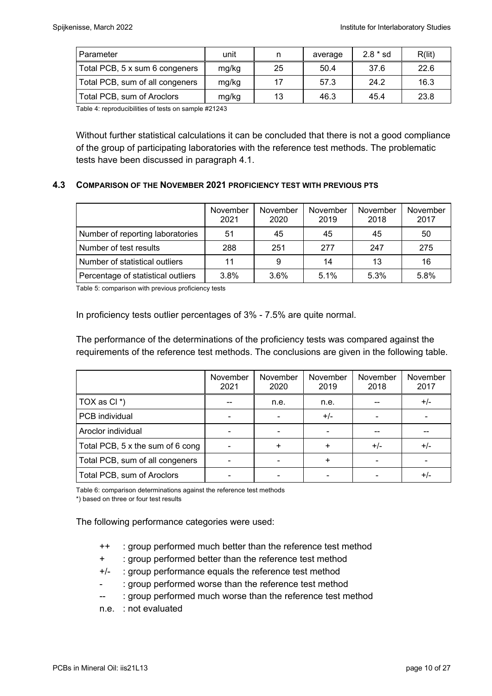| Parameter                               | unit  | n  | average | $2.8 * sd$ | R(lit) |
|-----------------------------------------|-------|----|---------|------------|--------|
| Total PCB, 5 x sum 6 congeners<br>mg/kg |       | 25 | 50.4    | 37.6       | 22.6   |
| Total PCB, sum of all congeners         | mg/kg | 17 | 57.3    | 24.2       | 16.3   |
| Total PCB, sum of Aroclors              | mg/kg | 13 | 46.3    | 45.4       | 23.8   |

Table 4: reproducibilities of tests on sample #21243

Without further statistical calculations it can be concluded that there is not a good compliance of the group of participating laboratories with the reference test methods. The problematic tests have been discussed in paragraph 4.1.

#### **4.3 COMPARISON OF THE NOVEMBER 2021 PROFICIENCY TEST WITH PREVIOUS PTS**

|                                    | November<br>2021 | November<br>2020 | November<br>2019 | November<br>2018 | November<br>2017 |
|------------------------------------|------------------|------------------|------------------|------------------|------------------|
| Number of reporting laboratories   | 51               | 45               | 45               | 45               | 50               |
| Number of test results             | 288              | 251              | 277              | 247              | 275              |
| Number of statistical outliers     | 11               | 9                | 14               | 13               | 16               |
| Percentage of statistical outliers | 3.8%             | 3.6%             | 5.1%             | 5.3%             | 5.8%             |

Table 5: comparison with previous proficiency tests

In proficiency tests outlier percentages of 3% - 7.5% are quite normal.

The performance of the determinations of the proficiency tests was compared against the requirements of the reference test methods. The conclusions are given in the following table.

|                                  | November<br>2021 | November<br>2020 | November<br>2019 | November<br>2018 | November<br>2017 |
|----------------------------------|------------------|------------------|------------------|------------------|------------------|
| TOX as Cl $*$ )                  |                  | n.e.<br>n.e.     |                  |                  | $+/-$            |
| PCB individual                   |                  | $\blacksquare$   | $+/-$            |                  |                  |
| Aroclor individual               |                  | $\blacksquare$   |                  |                  |                  |
| Total PCB, 5 x the sum of 6 cong |                  | ÷                | +                | $+/-$            | $+/-$            |
| Total PCB, sum of all congeners  |                  |                  | +                |                  |                  |
| Total PCB, sum of Aroclors       |                  |                  |                  |                  | $+/-$            |

Table 6: comparison determinations against the reference test methods

\*) based on three or four test results

The following performance categories were used:

- ++ : group performed much better than the reference test method
- + : group performed better than the reference test method
- +/- : group performance equals the reference test method
- : group performed worse than the reference test method
- -- : group performed much worse than the reference test method
- n.e. : not evaluated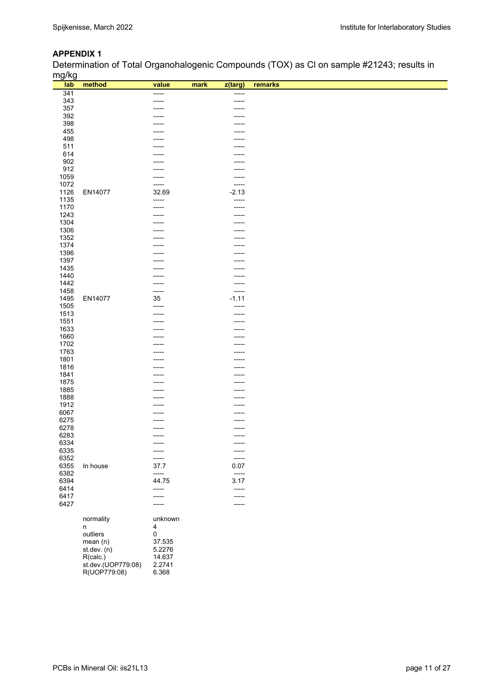Determination of Total Organohalogenic Compounds (TOX) as Cl on sample #21243; results in mg/kg

| פיישייי<br>lab | method             | value           | mark | $z$ (targ)     | remarks |
|----------------|--------------------|-----------------|------|----------------|---------|
| 341            |                    | -----           |      | -----          |         |
| 343            |                    |                 |      |                |         |
| 357            |                    | ------<br>----- |      | -----<br>----- |         |
| 392            |                    |                 |      | ----           |         |
| 398            |                    |                 |      |                |         |
| 455            |                    |                 |      |                |         |
| 498            |                    |                 |      |                |         |
| 511            |                    | -----           |      | -----          |         |
| 614            |                    |                 |      |                |         |
| 902            |                    |                 |      |                |         |
| 912            |                    |                 |      |                |         |
| 1059           |                    |                 |      | -----          |         |
| 1072           |                    | ------          |      | -----          |         |
| 1126           | EN14077            | 32.69           |      | $-2.13$        |         |
| 1135           |                    | -----           |      | -----          |         |
| 1170           |                    | -----           |      | -----          |         |
| 1243           |                    |                 |      |                |         |
| 1304<br>1306   |                    | -----           |      | -----          |         |
| 1352           |                    |                 |      | ----           |         |
| 1374           |                    |                 |      |                |         |
| 1396           |                    |                 |      |                |         |
| 1397           |                    |                 |      |                |         |
| 1435           |                    |                 |      |                |         |
| 1440           |                    |                 |      | -----          |         |
| 1442           |                    | -----           |      | -----          |         |
| 1458           |                    | -----           |      | -----          |         |
| 1495           | EN14077            | 35              |      | $-1.11$        |         |
| 1505           |                    | -----           |      | -----          |         |
| 1513           |                    | -----           |      | -----          |         |
| 1551           |                    |                 |      | -----          |         |
| 1633           |                    |                 |      |                |         |
| 1660           |                    |                 |      | -----          |         |
| 1702           |                    |                 |      | -----          |         |
| 1763<br>1801   |                    |                 |      |                |         |
| 1816           |                    |                 |      |                |         |
| 1841           |                    |                 |      | -----          |         |
| 1875           |                    |                 |      |                |         |
| 1885           |                    |                 |      | -----          |         |
| 1888           |                    |                 |      |                |         |
| 1912           |                    |                 |      |                |         |
| 6067           |                    |                 |      |                |         |
| 6275           |                    |                 |      |                |         |
| 6278           |                    |                 |      |                |         |
| 6283           |                    |                 |      | -----          |         |
| 6334           |                    | -----           |      | -----          |         |
| 6335           |                    | -----           |      | -----          |         |
| 6352           |                    | -----           |      | -----          |         |
| 6355           | In house           | 37.7            |      | 0.07           |         |
| 6382<br>6394   |                    | -----<br>44.75  |      | -----<br>3.17  |         |
| 6414           |                    | -----           |      | -----          |         |
| 6417           |                    | -----           |      | -----          |         |
| 6427           |                    | ------          |      | -----          |         |
|                |                    |                 |      |                |         |
|                | normality          | unknown         |      |                |         |
|                | n                  | 4               |      |                |         |
|                | outliers           | 0               |      |                |         |
|                | mean(n)            | 37.535          |      |                |         |
|                | st.dev. (n)        | 5.2276          |      |                |         |
|                | R(calc.)           | 14.637          |      |                |         |
|                | st.dev.(UOP779:08) | 2.2741          |      |                |         |
|                | R(UOP779:08)       | 6.368           |      |                |         |
|                |                    |                 |      |                |         |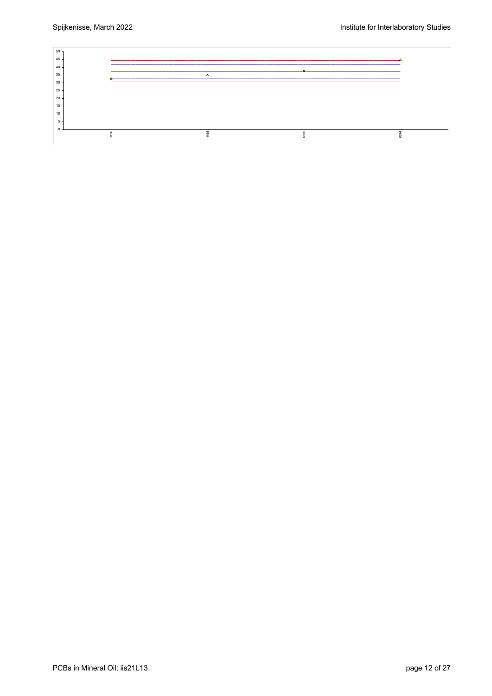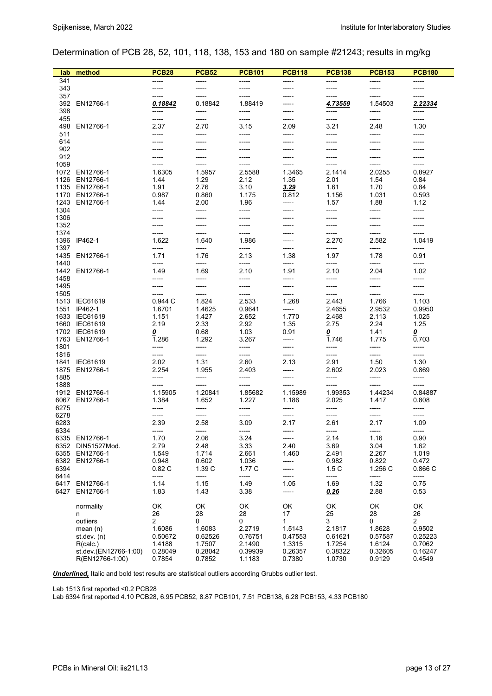Determination of PCB 28, 52, 101, 118, 138, 153 and 180 on sample #21243; results in mg/kg

| lab          | method                         | <b>PCB28</b>             | <b>PCB52</b>    | <b>PCB101</b>   | <b>PCB118</b>          | <b>PCB138</b>   | <b>PCB153</b>   | <b>PCB180</b>            |
|--------------|--------------------------------|--------------------------|-----------------|-----------------|------------------------|-----------------|-----------------|--------------------------|
| 341          |                                | -----                    | -----           | -----           | -----                  | -----           | -----           | -----                    |
| 343          |                                | -----                    | -----           | -----           | -----                  | -----           | -----           | -----                    |
| 357          |                                | -----                    | -----           | -----           | -----                  | -----           | -----           | -----                    |
|              | 392 EN12766-1                  | 0.18842                  | 0.18842         | 1.88419         | -----                  | 4.73559         | 1.54503         | 2.22334                  |
| 398          |                                | -----                    | -----           | -----           | -----                  | -----           | -----           | -----                    |
| 455          |                                | $-----$                  | -----           | -----           | -----                  | ------          | -----           | -----                    |
| 498          | EN12766-1                      | 2.37                     | 2.70            | 3.15            | 2.09                   | 3.21            | 2.48            | 1.30                     |
| 511          |                                | $-----$                  | -----           | -----           | -----                  | -----           | -----           | -----                    |
| 614          |                                | -----                    | -----           | -----           | -----                  | -----           | -----           |                          |
| 902<br>912   |                                | -----<br>-----           | -----<br>-----  | -----<br>-----  | -----<br>-----         | -----<br>-----  | -----<br>-----  | -----                    |
| 1059         |                                | -----                    | -----           | -----           | -----                  | -----           | -----           | -----                    |
|              | 1072 EN12766-1                 | 1.6305                   | 1.5957          | 2.5588          | 1.3465                 | 2.1414          | 2.0255          | 0.8927                   |
|              | 1126 EN12766-1                 | 1.44                     | 1.29            | 2.12            | 1.35                   | 2.01            | 1.54            | 0.84                     |
|              | 1135 EN12766-1                 | 1.91                     | 2.76            | 3.10            | 3.29                   | 1.61            | 1.70            | 0.84                     |
|              | 1170 EN12766-1                 | 0.987                    | 0.860           | 1.175           | 0.812                  | 1.156           | 1.031           | 0.593                    |
| 1243         | EN12766-1                      | 1.44                     | 2.00            | 1.96            | -----                  | 1.57            | 1.88            | 1.12                     |
| 1304         |                                | -----                    | -----           | -----           | -----                  | -----           | -----           | -----                    |
| 1306         |                                | -----                    | -----           | -----           | -----                  | -----           | -----           | -----                    |
| 1352         |                                | -----                    | -----           | -----           | -----                  | -----           | -----           | -----                    |
| 1374         |                                | -----                    | -----           | -----           | -----                  | -----           | -----           | -----                    |
| 1396<br>1397 | IP462-1                        | 1.622<br>$-----$         | 1.640<br>-----  | 1.986<br>-----  | -----<br>-----         | 2.270<br>-----  | 2.582<br>-----  | 1.0419<br>-----          |
| 1435         | EN12766-1                      | 1.71                     | 1.76            | 2.13            | 1.38                   | 1.97            | 1.78            | 0.91                     |
| 1440         |                                | $-----$                  | -----           | -----           | -----                  | -----           | -----           | -----                    |
| 1442         | EN12766-1                      | 1.49                     | 1.69            | 2.10            | 1.91                   | 2.10            | 2.04            | 1.02                     |
| 1458         |                                | -----                    | -----           | -----           | -----                  | -----           | -----           | -----                    |
| 1495         |                                | -----                    | -----           | ------          | -----                  | -----           | -----           | -----                    |
| 1505         |                                | -----                    | -----           | -----           | -----                  | -----           | -----           | -----                    |
| 1551         | 1513 IEC61619<br>IP462-1       | 0.944C<br>1.6701         | 1.824<br>1.4625 | 2.533<br>0.9641 | 1.268<br>-----         | 2.443<br>2.4655 | 1.766<br>2.9532 | 1.103<br>0.9950          |
|              | 1633 IEC61619                  | 1.151                    | 1.427           | 2.652           | 1.770                  | 2.468           | 2.113           | 1.025                    |
|              | 1660 IEC61619                  | 2.19                     | 2.33            | 2.92            | 1.35                   | 2.75            | 2.24            | 1.25                     |
|              | 1702 IEC61619                  | 0                        | 0.68            | 1.03            | 0.91                   | <u>0</u>        | 1.41            | <u>0</u>                 |
| 1763         | EN12766-1                      | 1.286                    | 1.292           | 3.267           | -----                  | 1.746           | 1.775           | 0.703                    |
| 1801         |                                | -----                    | -----           | -----           | -----                  | -----           | -----           | -----                    |
| 1816         |                                | -----                    | -----           | -----           | -----                  | -----           | -----           | -----                    |
| 1841         | <b>IEC61619</b>                | 2.02                     | 1.31            | 2.60            | 2.13                   | 2.91            | 1.50            | 1.30                     |
| 1875         | EN12766-1                      | 2.254                    | 1.955           | 2.403           | -----                  | 2.602           | 2.023           | 0.869                    |
| 1885<br>1888 |                                | -----<br>-----           | -----<br>-----  | -----<br>-----  | -----<br>-----         | -----<br>-----  | -----<br>-----  | -----<br>-----           |
|              | 1912 EN12766-1                 | 1.15905                  | 1.20841         | 1.85682         | 1.15989                | 1.99353         | 1.44234         | 0.84887                  |
|              | 6067 EN12766-1                 | 1.384                    | 1.652           | 1.227           | 1.186                  | 2.025           | 1.417           | 0.808                    |
| 6275         |                                | -----                    | -----           | -----           | -----                  | -----           | -----           | -----                    |
| 6278         |                                | -----                    | -----           | -----           | -----                  | -----           | -----           | -----                    |
| 6283         |                                | 2.39                     | 2.58            | 3.09            | 2.17                   | 2.61            | 2.17            | 1.09                     |
| 6334         |                                | -----                    | -----           | -----           | -----                  | -----           | -----           | -----                    |
|              | 6335 EN12766-1                 | 1.70                     | 2.06            | 3.24            | -----                  | 2.14            | 1.16            | 0.90                     |
| 6355         | 6352 DIN51527Mod.<br>EN12766-1 | 2.79<br>1.549            | 2.48<br>1.714   | 3.33<br>2.661   | 2.40<br>1.460          | 3.69<br>2.491   | 3.04<br>2.267   | 1.62<br>1.019            |
|              | 6382 EN12766-1                 | 0.948                    | 0.602           | 1.036           | -----                  | 0.982           | 0.822           | 0.472                    |
| 6394         |                                | 0.82C                    | 1.39 C          | 1.77 C          | -----                  | 1.5C            | 1.256 C         | 0.866C                   |
| 6414         |                                | $-----$                  | -----           | -----           | -----                  | -----           | -----           | -----                    |
|              | 6417 EN12766-1                 | 1.14                     | 1.15            | 1.49            | 1.05                   | 1.69            | 1.32            | 0.75                     |
| 6427         | EN12766-1                      | 1.83                     | 1.43            | 3.38            | -----                  | 0.26            | 2.88            | 0.53                     |
|              |                                |                          |                 |                 |                        |                 |                 |                          |
|              | normality                      | OK                       | OK              | OK              | OK                     | OK              | OK              | OK                       |
|              | n                              | 26                       | 28              | 28              | 17                     | 25              | 28              | 26                       |
|              | outliers<br>mean $(n)$         | $\overline{2}$<br>1.6086 | 0<br>1.6083     | 0<br>2.2719     | $\mathbf{1}$<br>1.5143 | 3<br>2.1817     | 0<br>1.8628     | $\overline{2}$<br>0.9502 |
|              | st dev. (n)                    | 0.50672                  | 0.62526         | 0.76751         | 0.47553                | 0.61621         | 0.57587         | 0.25223                  |
|              | R(calc.)                       | 1.4188                   | 1.7507          | 2.1490          | 1.3315                 | 1.7254          | 1.6124          | 0.7062                   |
|              | st.dev.(EN12766-1:00)          | 0.28049                  | 0.28042         | 0.39939         | 0.26357                | 0.38322         | 0.32605         | 0.16247                  |
|              | R(EN12766-1:00)                | 0.7854                   | 0.7852          | 1.1183          | 0.7380                 | 1.0730          | 0.9129          | 0.4549                   |

*Underlined,* Italic and bold test results are statistical outliers according Grubbs outlier test.

Lab 1513 first reported <0.2 PCB28

Lab 6394 first reported 4.10 PCB28, 6.95 PCB52, 8.87 PCB101, 7.51 PCB138, 6.28 PCB153, 4.33 PCB180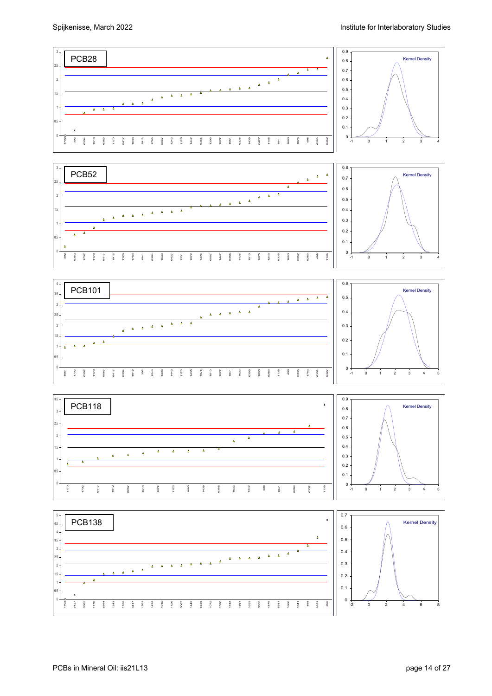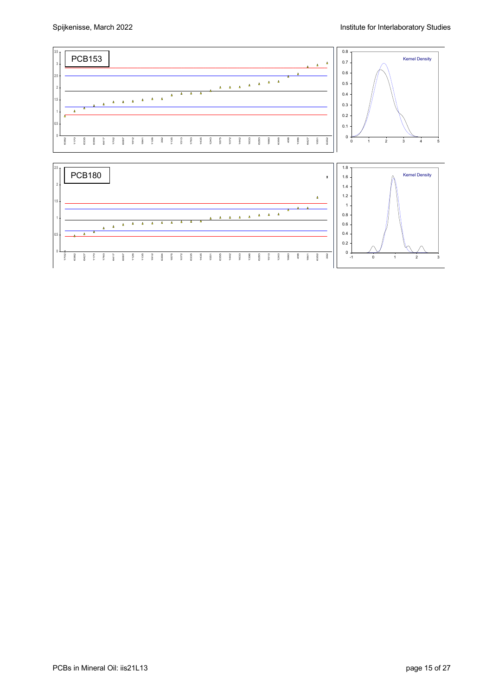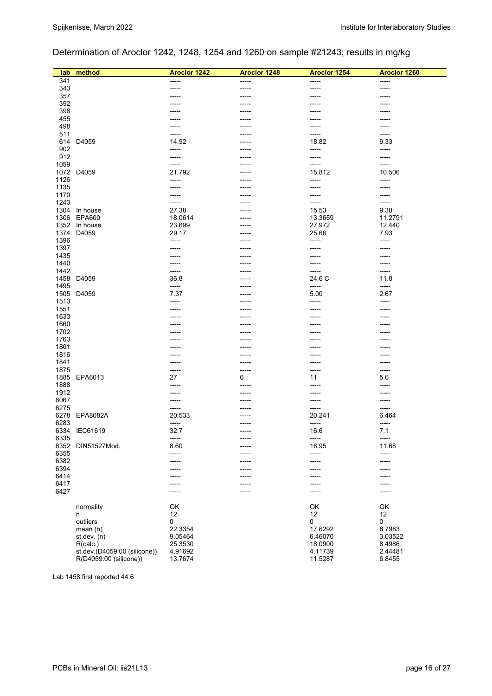# Determination of Aroclor 1242, 1248, 1254 and 1260 on sample #21243; results in mg/kg

| lab          | method                                   | Aroclor 1242       | <b>Aroclor 1248</b> | Aroclor 1254       | Aroclor 1260      |
|--------------|------------------------------------------|--------------------|---------------------|--------------------|-------------------|
| 341          |                                          | -----              | ------              | -----              | -----             |
| 343          |                                          | -----              | ------              | ------             | -----             |
| 357          |                                          | -----              | -----               | -----              | -----             |
| 392          |                                          |                    |                     |                    |                   |
| 398          |                                          |                    |                     |                    |                   |
| 455          |                                          |                    |                     |                    |                   |
| 498          |                                          |                    |                     | -----              |                   |
| 511          | 614 D4059                                | -----<br>14.92     |                     | 18.82              | -----<br>9.33     |
| 902          |                                          | -----              |                     | -----              | -----             |
| 912          |                                          | -----              |                     | -----              | $-----$           |
| 1059         |                                          | -----              |                     | -----              | ------            |
|              | 1072 D4059                               | 21.792             |                     | 15.812             | 10.506            |
| 1126         |                                          | -----              |                     | -----              | -----             |
| 1135         |                                          | -----              |                     | -----              | -----             |
| 1170         |                                          | -----              |                     | -----              | -----             |
| 1243         |                                          | -----              |                     | -----              | -----             |
|              | 1304 In house                            | 27.38              |                     | 15.53              | 9.38              |
| 1306         | EPA600                                   | 18.0614            |                     | 13.3659            | 11.2791           |
|              | 1352 In house                            | 23.699             |                     | 27.972             | 12.440            |
| 1396         | 1374 D4059                               | 29.17              |                     | 25.66              | 7.93              |
| 1397         |                                          | -----              |                     | -----              | -----             |
| 1435         |                                          | -----              |                     | ----               | -----             |
| 1440         |                                          | -----              |                     | -----              | ------            |
| 1442         |                                          | -----              |                     | -----              | -----             |
| 1458         | D4059                                    | 36.8               |                     | 24.6 C             | 11.8              |
| 1495         |                                          | -----              |                     | $-----$            | -----             |
| 1505         | D4059                                    | 7.37               |                     | 5.00               | 2.67              |
| 1513         |                                          | -----              |                     | -----              | -----             |
| 1551         |                                          | -----              |                     | -----              | -----             |
| 1633         |                                          |                    |                     |                    |                   |
| 1660<br>1702 |                                          | -----              |                     | -----              | -----             |
| 1763         |                                          |                    |                     |                    |                   |
| 1801         |                                          |                    |                     |                    |                   |
| 1816         |                                          |                    |                     |                    |                   |
| 1841         |                                          |                    |                     | -----              |                   |
| 1875         |                                          | -----              | -----               | -----              | -----             |
|              | 1885 EPA6013                             | 27                 | 0                   | 11                 | 5.0               |
| 1888         |                                          | -----              | -----               | -----              | -----             |
| 1912<br>6067 |                                          | -----<br>-----     |                     | -----              | -----<br>-----    |
| 6275         |                                          | -----              |                     | -----              | -----             |
| 6278         | EPA8082A                                 | 20.533             |                     | 20.241             | 6.464             |
| 6283         |                                          | -----              |                     | -----              | -----             |
|              | 6334 IEC61619                            | 32.7               | -----               | 16.6               | 7.1               |
| 6335         |                                          | -----              | -----               | -----              | -----             |
|              | 6352 DIN51527Mod.                        | 8.60               |                     | 16.95              | 11.68             |
| 6355         |                                          | -----              |                     | -----              | -----             |
| 6382         |                                          |                    |                     |                    |                   |
| 6394<br>6414 |                                          |                    |                     |                    |                   |
| 6417         |                                          | -----              |                     | -----              |                   |
| 6427         |                                          | -----              |                     | -----              | -----             |
|              |                                          |                    |                     |                    |                   |
|              | normality                                | OK                 |                     | OK                 | OK                |
|              | n                                        | 12                 |                     | 12                 | 12                |
|              | outliers                                 | 0                  |                     | 0                  | 0                 |
|              | mean $(n)$                               | 22.3354            |                     | 17.6292            | 8.7983            |
|              | st.dev. $(n)$                            | 9.05464            |                     | 6.46070            | 3.03522           |
|              | R(calc.)<br>st.dev.(D4059:00 (silicone)) | 25.3530<br>4.91692 |                     | 18.0900<br>4.11739 | 8.4986<br>2.44481 |
|              | R(D4059:00 (silicone))                   | 13.7674            |                     | 11.5287            | 6.8455            |

Lab 1458 first reported 44.6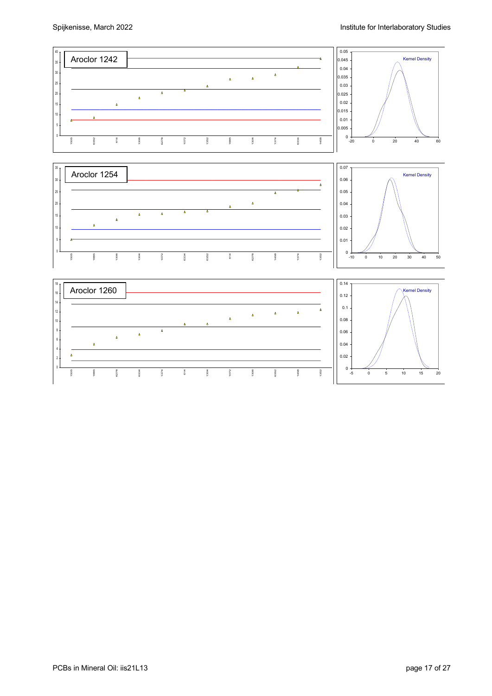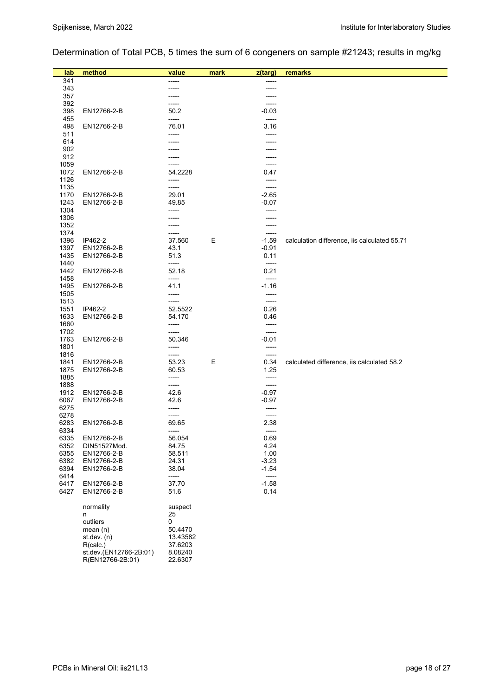# Determination of Total PCB, 5 times the sum of 6 congeners on sample #21243; results in mg/kg

| lab          | method                 | value          | mark | z(targ)          | remarks                                      |
|--------------|------------------------|----------------|------|------------------|----------------------------------------------|
| 341          |                        |                |      |                  |                                              |
| 343          |                        |                |      |                  |                                              |
| 357          |                        |                |      |                  |                                              |
| 392          |                        | -----          |      | -----            |                                              |
| 398<br>455   | EN12766-2-B            | 50.2<br>-----  |      | $-0.03$<br>----- |                                              |
| 498          | EN12766-2-B            | 76.01          |      | 3.16             |                                              |
| 511          |                        | -----          |      | -----            |                                              |
| 614          |                        |                |      |                  |                                              |
| 902          |                        |                |      |                  |                                              |
| 912          |                        |                |      |                  |                                              |
| 1059         | EN12766-2-B            | 54.2228        |      | 0.47             |                                              |
| 1072<br>1126 |                        | -----          |      | -----            |                                              |
| 1135         |                        | -----          |      | -----            |                                              |
| 1170         | EN12766-2-B            | 29.01          |      | $-2.65$          |                                              |
| 1243         | EN12766-2-B            | 49.85          |      | $-0.07$          |                                              |
| 1304         |                        | -----          |      | -----            |                                              |
| 1306         |                        |                |      |                  |                                              |
| 1352<br>1374 |                        |                |      |                  |                                              |
| 1396         | IP462-2                | 37.560         | Ε    | $-1.59$          | calculation difference, iis calculated 55.71 |
| 1397         | EN12766-2-B            | 43.1           |      | $-0.91$          |                                              |
| 1435         | EN12766-2-B            | 51.3           |      | 0.11             |                                              |
| 1440         |                        | -----          |      | -----            |                                              |
| 1442         | EN12766-2-B            | 52.18          |      | 0.21             |                                              |
| 1458<br>1495 | EN12766-2-B            | -----<br>41.1  |      | -----<br>$-1.16$ |                                              |
| 1505         |                        | -----          |      | -----            |                                              |
| 1513         |                        | -----          |      | -----            |                                              |
| 1551         | IP462-2                | 52.5522        |      | 0.26             |                                              |
| 1633         | EN12766-2-B            | 54.170         |      | 0.46             |                                              |
| 1660<br>1702 |                        | -----<br>----- |      | -----<br>-----   |                                              |
| 1763         | EN12766-2-B            | 50.346         |      | $-0.01$          |                                              |
| 1801         |                        | -----          |      | -----            |                                              |
| 1816         |                        | -----          |      | -----            |                                              |
| 1841         | EN12766-2-B            | 53.23          | Ε    | 0.34             | calculated difference, iis calculated 58.2   |
| 1875<br>1885 | EN12766-2-B            | 60.53<br>----- |      | 1.25<br>-----    |                                              |
| 1888         |                        | -----          |      | -----            |                                              |
| 1912         | EN12766-2-B            | 42.6           |      | $-0.97$          |                                              |
| 6067         | EN12766-2-B            | 42.6           |      | -0.97            |                                              |
| 6275         |                        | -----          |      | -----            |                                              |
| 6278         |                        | -----          |      | -----            |                                              |
| 6283<br>6334 | EN12766-2-B            | 69.65<br>----- |      | 2.38<br>-----    |                                              |
| 6335         | EN12766-2-B            | 56.054         |      | 0.69             |                                              |
| 6352         | DIN51527Mod.           | 84.75          |      | 4.24             |                                              |
| 6355         | EN12766-2-B            | 58.511         |      | 1.00             |                                              |
| 6382         | EN12766-2-B            | 24.31          |      | $-3.23$          |                                              |
| 6394<br>6414 | EN12766-2-B            | 38.04<br>----- |      | $-1.54$<br>----- |                                              |
| 6417         | EN12766-2-B            | 37.70          |      | $-1.58$          |                                              |
| 6427         | EN12766-2-B            | 51.6           |      | 0.14             |                                              |
|              |                        |                |      |                  |                                              |
|              | normality              | suspect        |      |                  |                                              |
|              | n                      | 25             |      |                  |                                              |
|              | outliers<br>mean $(n)$ | 0<br>50.4470   |      |                  |                                              |
|              | st.dev. (n)            | 13.43582       |      |                  |                                              |
|              | R(calc.)               | 37.6203        |      |                  |                                              |
|              | st.dev.(EN12766-2B:01) | 8.08240        |      |                  |                                              |
|              | R(EN12766-2B:01)       | 22.6307        |      |                  |                                              |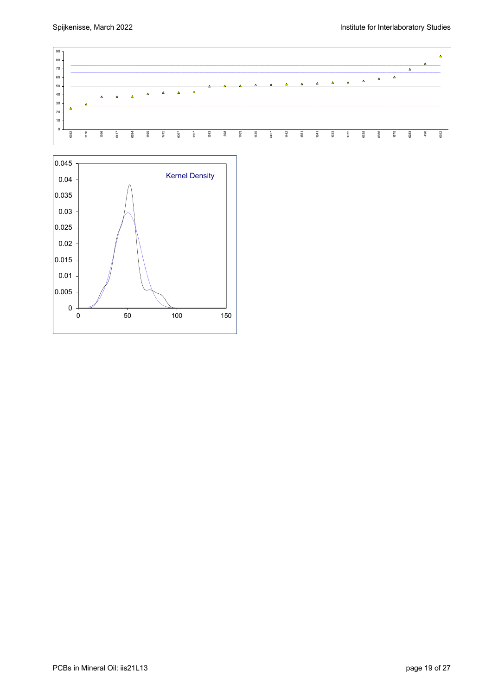

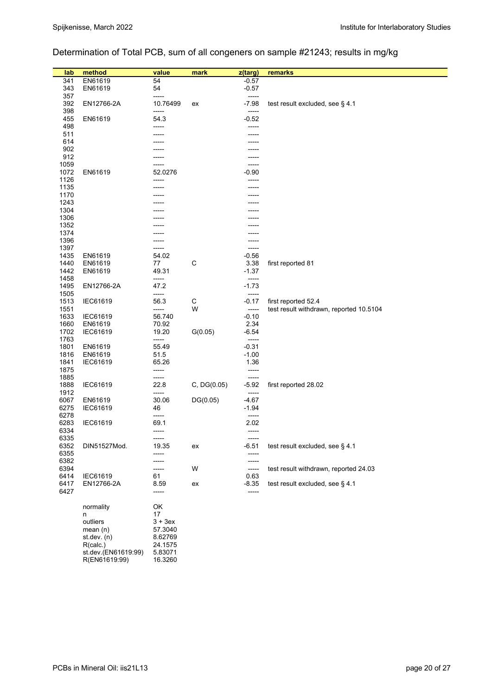# Determination of Total PCB, sum of all congeners on sample #21243; results in mg/kg

| lab          | method                           | value                | mark        | z(targ)          | remarks                                 |
|--------------|----------------------------------|----------------------|-------------|------------------|-----------------------------------------|
| 341          | EN61619                          | 54                   |             | $-0.57$          |                                         |
| 343          | EN61619                          | 54                   |             | $-0.57$          |                                         |
| 357          |                                  | -----                |             | $-----$          |                                         |
| 392          | EN12766-2A                       | 10.76499             | ex          | $-7.98$          | test result excluded, see § 4.1         |
| 398          |                                  | -----                |             | -----            |                                         |
| 455          | EN61619                          | 54.3                 |             | $-0.52$          |                                         |
| 498          |                                  |                      |             | -----            |                                         |
| 511          |                                  |                      |             |                  |                                         |
| 614          |                                  |                      |             |                  |                                         |
| 902          |                                  |                      |             |                  |                                         |
| 912<br>1059  |                                  |                      |             |                  |                                         |
| 1072         | EN61619                          | 52.0276              |             | $-0.90$          |                                         |
| 1126         |                                  | -----                |             |                  |                                         |
| 1135         |                                  |                      |             |                  |                                         |
| 1170         |                                  |                      |             |                  |                                         |
| 1243         |                                  |                      |             |                  |                                         |
| 1304         |                                  |                      |             |                  |                                         |
| 1306         |                                  |                      |             |                  |                                         |
| 1352         |                                  |                      |             |                  |                                         |
| 1374         |                                  |                      |             |                  |                                         |
| 1396         |                                  |                      |             |                  |                                         |
| 1397         |                                  |                      |             | -----            |                                         |
| 1435         | EN61619                          | 54.02                |             | $-0.56$          |                                         |
| 1440         | EN61619                          | 77                   | C           | 3.38             | first reported 81                       |
| 1442         | EN61619                          | 49.31                |             | $-1.37$          |                                         |
| 1458         |                                  | -----                |             | -----            |                                         |
| 1495         | EN12766-2A                       | 47.2                 |             | $-1.73$          |                                         |
| 1505         |                                  | -----                |             | -----            |                                         |
| 1513         | IEC61619                         | 56.3                 | C           | $-0.17$          | first reported 52.4                     |
| 1551         | IEC61619                         | -----<br>56.740      | W           | -----<br>$-0.10$ | test result withdrawn, reported 10.5104 |
| 1633<br>1660 | EN61619                          | 70.92                |             | 2.34             |                                         |
| 1702         | IEC61619                         | 19.20                | G(0.05)     | $-6.54$          |                                         |
| 1763         |                                  | -----                |             | -----            |                                         |
| 1801         | EN61619                          | 55.49                |             | $-0.31$          |                                         |
| 1816         | EN61619                          | 51.5                 |             | $-1.00$          |                                         |
| 1841         | IEC61619                         | 65.26                |             | 1.36             |                                         |
| 1875         |                                  | -----                |             | -----            |                                         |
| 1885         |                                  | -----                |             | -----            |                                         |
| 1888         | IEC61619                         | 22.8                 | C, DG(0.05) | $-5.92$          | first reported 28.02                    |
| 1912         |                                  | -----                |             | -----            |                                         |
| 6067         | EN61619                          | 30.06                | DG(0.05)    | $-4.67$          |                                         |
| 6275         | IEC61619                         | 46                   |             | $-1.94$          |                                         |
| 6278         |                                  | -----                |             | -----            |                                         |
| 6283         | IEC61619                         | 69.1                 |             | 2.02             |                                         |
| 6334         |                                  | -----                |             | -----            |                                         |
| 6335         |                                  | -----                |             | -----            | test result excluded, see § 4.1         |
| 6352<br>6355 | DIN51527Mod.                     | 19.35                | ex          | $-6.51$          |                                         |
| 6382         |                                  | -----                |             | -----<br>-----   |                                         |
| 6394         |                                  | -----                | W           | -----            | test result withdrawn, reported 24.03   |
| 6414         | IEC61619                         | 61                   |             | 0.63             |                                         |
| 6417         | EN12766-2A                       | 8.59                 | ex          | $-8.35$          | test result excluded, see § 4.1         |
| 6427         |                                  | -----                |             | -----            |                                         |
|              |                                  |                      |             |                  |                                         |
|              | normality                        | OK                   |             |                  |                                         |
|              | n                                | 17                   |             |                  |                                         |
|              | outliers                         | $3 + 3ex$            |             |                  |                                         |
|              | mean $(n)$                       | 57.3040              |             |                  |                                         |
|              | st.dev. (n)                      | 8.62769              |             |                  |                                         |
|              | R(calc.)<br>$H$ dou (ENR1810.00) | 24.1575<br>$E$ 02074 |             |                  |                                         |

nt.dev (EN61619:99) 5.83071<br>R(EN61619:99) 16.3260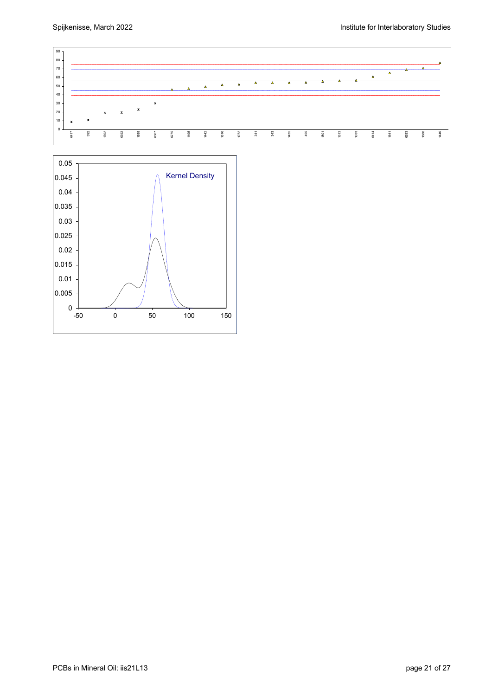

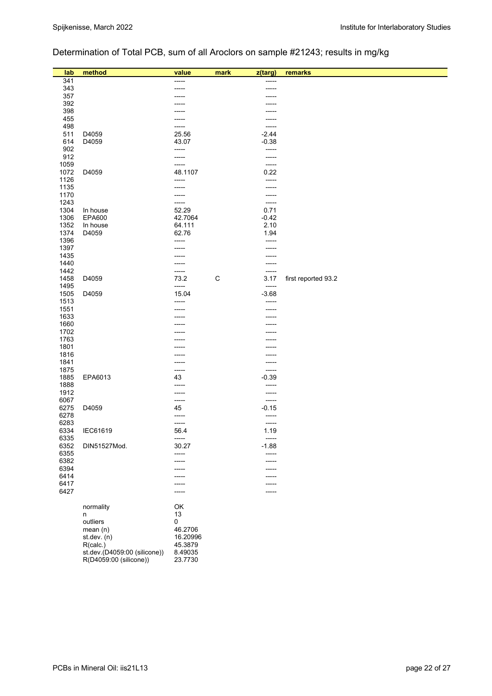# Determination of Total PCB, sum of all Aroclors on sample #21243; results in mg/kg

| lab          | method                       | value          | mark        | z(targ)          | remarks             |
|--------------|------------------------------|----------------|-------------|------------------|---------------------|
| 341          |                              | -----          |             | -----            |                     |
| 343          |                              | -----          |             | -----            |                     |
| 357          |                              |                |             |                  |                     |
| 392          |                              |                |             |                  |                     |
| 398          |                              |                |             |                  |                     |
| 455          |                              |                |             | -----            |                     |
| 498          |                              | -----          |             | -----            |                     |
| 511          | D4059                        | 25.56          |             | $-2.44$          |                     |
| 614          | D4059                        | 43.07          |             | $-0.38$          |                     |
| 902<br>912   |                              | -----<br>----- |             | -----<br>-----   |                     |
| 1059         |                              | -----          |             | -----            |                     |
| 1072         | D4059                        | 48.1107        |             | 0.22             |                     |
| 1126         |                              | -----          |             | -----            |                     |
| 1135         |                              | -----          |             | -----            |                     |
| 1170         |                              | -----          |             | -----            |                     |
| 1243         |                              | -----          |             | -----            |                     |
| 1304         | In house                     | 52.29          |             | 0.71             |                     |
| 1306         | EPA600                       | 42.7064        |             | $-0.42$          |                     |
| 1352         | In house                     | 64.111         |             | 2.10             |                     |
| 1374         | D4059                        | 62.76          |             | 1.94             |                     |
| 1396         |                              | -----          |             | -----            |                     |
| 1397<br>1435 |                              | -----          |             | -----            |                     |
| 1440         |                              |                |             | -----<br>-----   |                     |
| 1442         |                              | -----          |             | -----            |                     |
| 1458         | D4059                        | 73.2           | $\mathsf C$ | 3.17             | first reported 93.2 |
| 1495         |                              | -----          |             | -----            |                     |
| 1505         | D4059                        | 15.04          |             | $-3.68$          |                     |
| 1513         |                              | -----          |             | -----            |                     |
| 1551         |                              |                |             | -----            |                     |
| 1633         |                              |                |             |                  |                     |
| 1660         |                              |                |             |                  |                     |
| 1702         |                              |                |             |                  |                     |
| 1763<br>1801 |                              |                |             |                  |                     |
| 1816         |                              |                |             |                  |                     |
| 1841         |                              | -----          |             | -----            |                     |
| 1875         |                              | -----          |             | -----            |                     |
| 1885         | EPA6013                      | 43             |             | $-0.39$          |                     |
| 1888         |                              | -----          |             | -----            |                     |
| 1912         |                              | -----          |             | -----            |                     |
| 6067         |                              | -----          |             | -----            |                     |
| 6275<br>6278 | D4059                        | 45<br>-----    |             | $-0.15$<br>----- |                     |
| 6283         |                              | -----          |             | -----            |                     |
| 6334         | IEC61619                     | 56.4           |             | 1.19             |                     |
| 6335         |                              | -----          |             | -----            |                     |
| 6352         | DIN51527Mod.                 | 30.27          |             | $-1.88$          |                     |
| 6355         |                              | -----          |             | -----            |                     |
| 6382         |                              | -----          |             | -----            |                     |
| 6394         |                              |                |             |                  |                     |
| 6414         |                              |                |             |                  |                     |
| 6417<br>6427 |                              |                |             | ----             |                     |
|              |                              | -----          |             | -----            |                     |
|              | normality                    | OK             |             |                  |                     |
|              | n                            | 13             |             |                  |                     |
|              | outliers                     | 0              |             |                  |                     |
|              | mean $(n)$                   | 46.2706        |             |                  |                     |
|              | st.dev. (n)                  | 16.20996       |             |                  |                     |
|              | R(calc.)                     | 45.3879        |             |                  |                     |
|              | st.dev.(D4059:00 (silicone)) | 8.49035        |             |                  |                     |
|              | R(D4059:00 (silicone))       | 23.7730        |             |                  |                     |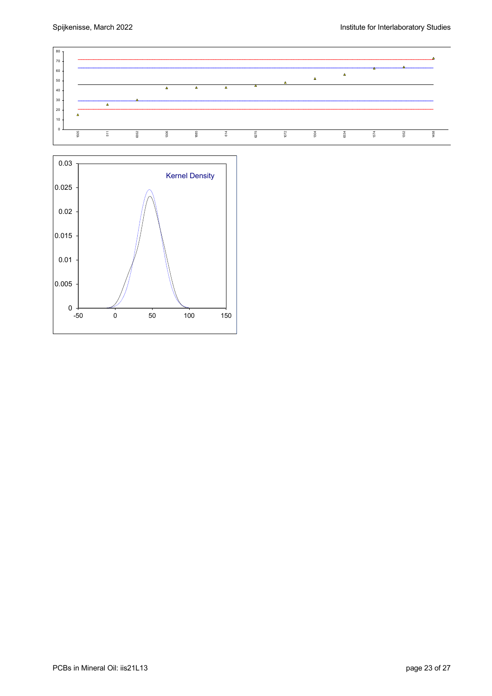

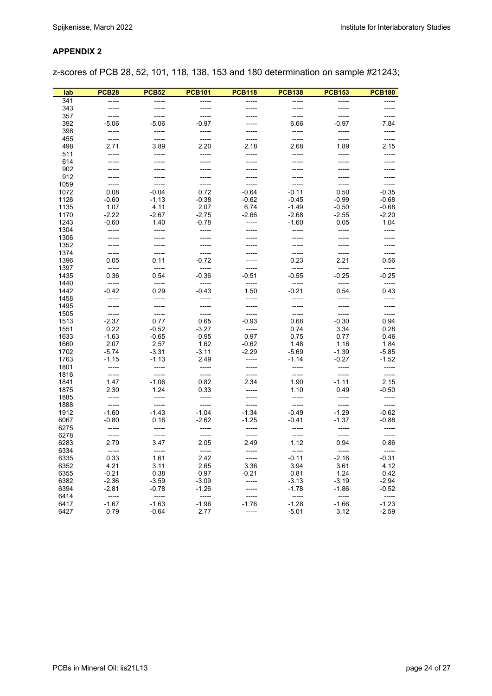z-scores of PCB 28, 52, 101, 118, 138, 153 and 180 determination on sample #21243;

| lab          | <b>PCB28</b>       | <b>PCB52</b>       | <b>PCB101</b>      | <b>PCB118</b>  | <b>PCB138</b>      | <b>PCB153</b>      | <b>PCB180</b>      |
|--------------|--------------------|--------------------|--------------------|----------------|--------------------|--------------------|--------------------|
| 341          | -----              | -----              | -----              |                | -----              | -----              |                    |
| 343          |                    |                    |                    |                |                    |                    |                    |
| 357          | -----              | -----              | -----              |                | -----              | -----              |                    |
| 392          | $-5.06$            | $-5.06$            | $-0.97$            |                | 6.66               | $-0.97$            | 7.84               |
| 398          | -----              | -----              | -----              |                | -----              | -----              |                    |
| 455<br>498   | -----              | -----              | -----              |                | -----              | -----              | -----              |
| 511          | 2.71<br>-----      | 3.89<br>-----      | 2.20<br>-----      | 2.18<br>-----  | 2.68<br>-----      | 1.89               | 2.15               |
| 614          |                    |                    |                    |                |                    |                    |                    |
| 902          | -----              | -----              | -----              | -----          | -----              | -----              |                    |
| 912          | -----              | -----              | -----              |                | -----              | -----              |                    |
| 1059         |                    | -----              |                    |                | -----              |                    |                    |
| 1072         | 0.08               | $-0.04$            | 0.72               | $-0.64$        | $-0.11$            | 0.50               | $-0.35$            |
| 1126         | $-0.60$            | $-1.13$            | $-0.38$            | $-0.62$        | $-0.45$            | $-0.99$            | $-0.68$            |
| 1135         | 1.07               | 4.11               | 2.07               | 6.74           | $-1.49$            | $-0.50$            | $-0.68$            |
| 1170         | $-2.22$            | $-2.67$            | $-2.75$            | $-2.66$        | $-2.68$            | $-2.55$            | $-2.20$            |
| 1243         | $-0.60$            | 1.40               | $-0.78$            |                | $-1.60$            | 0.05               | 1.04               |
| 1304         | -----              | -----              | -----              |                | -----              | -----              | -----              |
| 1306         |                    |                    | -----              |                |                    |                    |                    |
| 1352         |                    |                    | -----              |                |                    |                    |                    |
| 1374         |                    | -----              | -----              |                | -----              | -----              |                    |
| 1396<br>1397 | 0.05<br>-----      | 0.11<br>-----      | $-0.72$<br>-----   | -----          | 0.23<br>-----      | 2.21               | 0.56               |
| 1435         | 0.36               | 0.54               | $-0.36$            | $-0.51$        | $-0.55$            | $-0.25$            | $-0.25$            |
| 1440         | -----              |                    |                    |                | -----              |                    |                    |
| 1442         | $-0.42$            | 0.29               | $-0.43$            | 1.50           | $-0.21$            | 0.54               | 0.43               |
| 1458         | -----              | -----              | -----              | -----          | -----              | -----              | -----              |
| 1495         | -----              | -----              |                    | -----          |                    | -----              | -----              |
| 1505         | -----              | -----              | -----              | -----          | -----              | -----              | -----              |
| 1513         | $-2.37$            | 0.77               | 0.65               | $-0.93$        | 0.68               | $-0.30$            | 0.94               |
| 1551         | 0.22               | $-0.52$            | $-3.27$            | -----          | 0.74               | 3.34               | 0.28               |
| 1633         | $-1.63$            | $-0.65$            | 0.95               | 0.97           | 0.75               | 0.77               | 0.46               |
| 1660         | 2.07               | 2.57               | 1.62               | $-0.62$        | 1.48               | 1.16               | 1.84               |
| 1702         | $-5.74$            | $-3.31$            | $-3.11$            | $-2.29$        | $-5.69$            | $-1.39$            | $-5.85$            |
| 1763         | $-1.15$            | $-1.13$            | 2.49               |                | $-1.14$            | $-0.27$            | $-1.52$            |
| 1801<br>1816 | -----<br>-----     | -----<br>-----     | -----<br>-----     | -----<br>----- | -----<br>-----     | -----<br>-----     | -----<br>-----     |
| 1841         | 1.47               | $-1.06$            | 0.82               | 2.34           | 1.90               | $-1.11$            | 2.15               |
| 1875         | 2.30               | 1.24               | 0.33               | -----          | 1.10               | 0.49               | $-0.50$            |
| 1885         | -----              | -----              | -----              | -----          | -----              | -----              | -----              |
| 1888         | -----              | -----              | -----              | -----          | -----              | -----              |                    |
| 1912         | $-1.60$            | $-1.43$            | $-1.04$            | $-1.34$        | $-0.49$            | $-1.29$            | $-0.62$            |
| 6067         | $-0.80$            | 0.16               | $-2.62$            | $-1.25$        | $-0.41$            | $-1.37$            | $-0.88$            |
| 6275         | -----              | -----              | -----              | -----          | -----              | -----              | -----              |
| 6278         | -----              | -----              | -----              |                | -----              | -----              |                    |
| 6283         | 2.79               | 3.47               | 2.05               | 2.49           | 1.12               | 0.94               | 0.86               |
| 6334         | -----              | -----              | -----              | -----          | -----              | -----              | -----              |
| 6335         | 0.33               | 1.61               | 2.42               | -----          | $-0.11$            | $-2.16$            | $-0.31$            |
| 6352         | 4.21               | 3.11               | 2.65               | 3.36           | 3.94               | 3.61               | 4.12               |
| 6355         | $-0.21$            | 0.38               | 0.97               | $-0.21$        | 0.81               | 1.24               | 0.42               |
| 6382<br>6394 | $-2.36$<br>$-2.81$ | $-3.59$<br>$-0.78$ | $-3.09$<br>$-1.26$ | -----          | $-3.13$<br>$-1.78$ | $-3.19$<br>$-1.86$ | $-2.94$<br>$-0.52$ |
| 6414         | -----              | -----              | -----              | -----          | -----              | $---$              | -----              |
| 6417         | $-1.67$            | $-1.63$            | $-1.96$            | $-1.76$        | $-1.28$            | $-1.66$            | $-1.23$            |
| 6427         | 0.79               | $-0.64$            | 2.77               |                | $-5.01$            | 3.12               | $-2.59$            |
|              |                    |                    |                    |                |                    |                    |                    |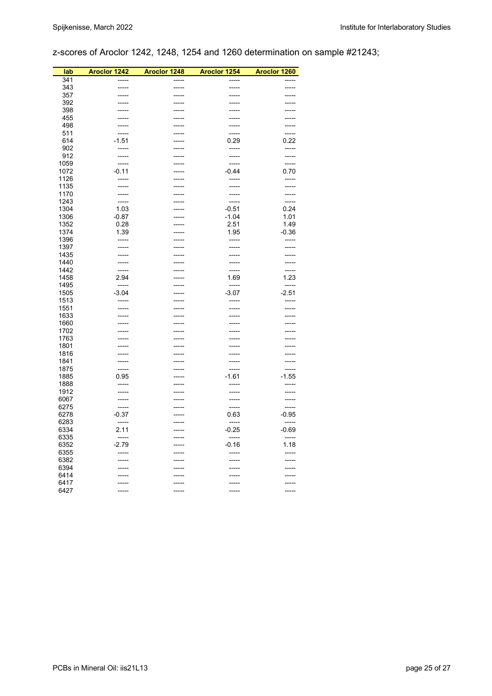# z-scores of Aroclor 1242, 1248, 1254 and 1260 determination on sample #21243;

| lab  | <b>Aroclor 1242</b> | <b>Aroclor 1248</b> | Aroclor 1254 | <b>Aroclor 1260</b> |
|------|---------------------|---------------------|--------------|---------------------|
| 341  | -----               | -----               | -----        |                     |
| 343  | -----               |                     |              |                     |
| 357  | -----               | -----               | -----        |                     |
| 392  | -----               |                     |              |                     |
| 398  |                     |                     |              |                     |
| 455  | -----               |                     |              |                     |
| 498  | -----               |                     | -----        | -----               |
| 511  | -----               |                     | -----        | -----               |
| 614  | $-1.51$             |                     | 0.29         | 0.22                |
| 902  | -----               |                     | -----        | -----               |
| 912  | -----               |                     | -----        | -----               |
| 1059 | -----               |                     | -----        | -----               |
| 1072 | $-0.11$             |                     | $-0.44$      | 0.70                |
| 1126 | -----               |                     | -----        | -----               |
| 1135 | -----               |                     | -----        | -----               |
| 1170 | -----               |                     | -----        | -----               |
| 1243 | -----               |                     | -----        | -----               |
| 1304 | 1.03                |                     | $-0.51$      | 0.24                |
| 1306 | $-0.87$             |                     | $-1.04$      | 1.01                |
| 1352 | 0.28                |                     | 2.51         | 1.49                |
| 1374 | 1.39                |                     | 1.95         | $-0.36$             |
| 1396 | -----               |                     | -----        | -----               |
| 1397 | -----               |                     | -----        | -----               |
| 1435 | -----               |                     | -----        | -----               |
| 1440 | -----               |                     | -----        | -----               |
| 1442 | -----               |                     | -----        | -----               |
| 1458 | 2.94                |                     | 1.69         | 1.23                |
| 1495 | -----               |                     |              | -----               |
| 1505 | $-3.04$             |                     | $-3.07$      | $-2.51$             |
| 1513 | -----               |                     | -----        | -----               |
| 1551 | -----               |                     | -----        | -----               |
| 1633 | -----               |                     | -----        | -----               |
| 1660 | -----               |                     |              |                     |
| 1702 | -----               |                     | -----        | -----               |
| 1763 | -----               |                     |              |                     |
| 1801 | -----               |                     |              |                     |
| 1816 | -----               |                     | -----        | -----               |
| 1841 | -----               |                     | -----        | -----               |
| 1875 | -----               |                     | -----        | -----               |
| 1885 | 0.95                |                     | $-1.61$      | $-1.55$             |
| 1888 | -----               |                     | $--- -$      | -----               |
| 1912 | -----               |                     | -----        | -----               |
| 6067 | -----               |                     | -----        | -----               |
| 6275 | -----               |                     | -----        | -----               |
| 6278 | $-0.37$             |                     | 0.63         | $-0.95$             |
| 6283 | $-----$             |                     | -----        | $---$               |
| 6334 | 2.11                |                     | $-0.25$      | $-0.69$             |
| 6335 | -----               |                     | -----        | -----               |
| 6352 | $-2.79$             |                     | $-0.16$      | 1.18                |
| 6355 | -----               |                     | -----        | -----               |
| 6382 | -----               |                     | -----        | -----               |
| 6394 |                     |                     |              |                     |
| 6414 | -----               |                     | -----        |                     |
| 6417 | -----               |                     | -----        |                     |
| 6427 |                     |                     |              |                     |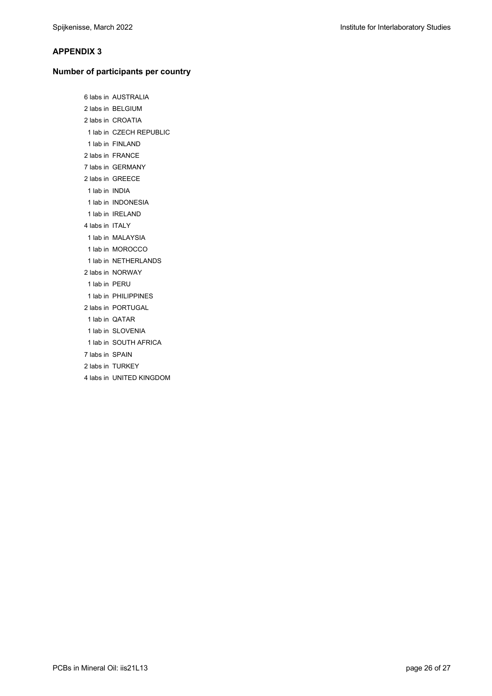#### **Number of participants per country**

6 labs in AUSTRALIA 2 labs in BELGIUM 2 labs in CROATIA 1 lab in CZECH REPUBLIC 1 lab in FINLAND 2 labs in FRANCE 7 labs in GERMANY 2 labs in GREECE 1 lab in INDIA 1 lab in INDONESIA 1 lab in IRELAND 4 labs in ITALY 1 lab in MALAYSIA 1 lab in MOROCCO 1 lab in NETHERLANDS 2 labs in NORWAY 1 lab in PERU 1 lab in PHILIPPINES 2 labs in PORTUGAL 1 lab in QATAR 1 lab in SLOVENIA 1 lab in SOUTH AFRICA 7 labs in SPAIN 2 labs in TURKEY 4 labs in UNITED KINGDOM